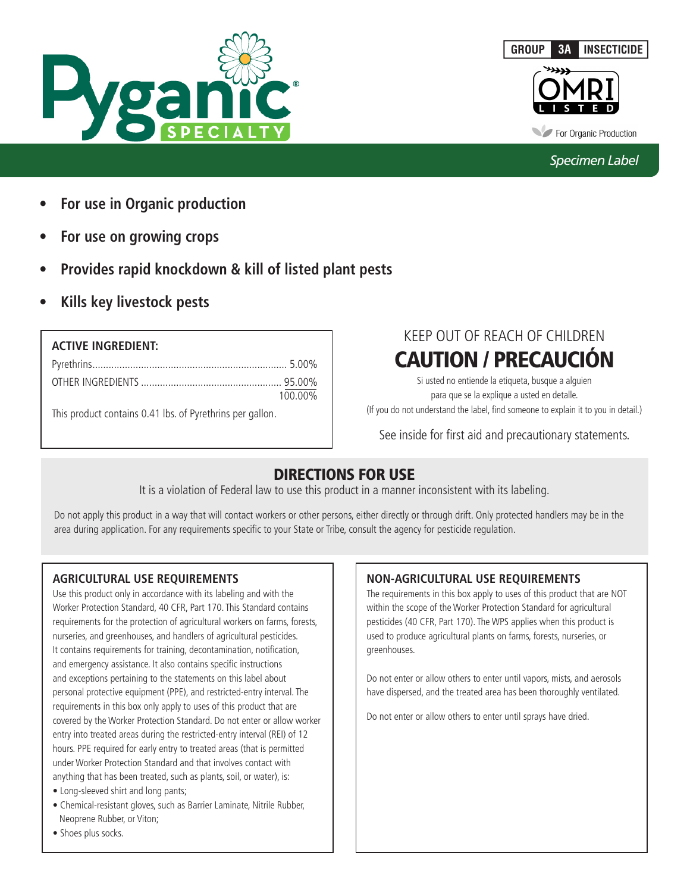





For Organic Production

# *Specimen Label*

- **• For use in Organic production**
- **• For use on growing crops**
- **Provides rapid knockdown & kill of listed plant pests**
- **• Kills key livestock pests**

| <b>ACTIVE INGREDIENT:</b>                                 |         |
|-----------------------------------------------------------|---------|
|                                                           |         |
|                                                           | 100.00% |
| This product contains 0.41 lbs. of Pyrethrins per gallon. |         |

# KEEP OUT OF REACH OF CHILDREN CAUTION / PRECAUCIÓN

Si usted no entiende la etiqueta, busque a alguien para que se la explique a usted en detalle. (If you do not understand the label, find someone to explain it to you in detail.)

See inside for first aid and precautionary statements.

# DIRECTIONS FOR USE

It is a violation of Federal law to use this product in a manner inconsistent with its labeling.

Do not apply this product in a way that will contact workers or other persons, either directly or through drift. Only protected handlers may be in the area during application. For any requirements specific to your State or Tribe, consult the agency for pesticide regulation.

# **AGRICULTURAL USE REQUIREMENTS**

Use this product only in accordance with its labeling and with the Worker Protection Standard, 40 CFR, Part 170. This Standard contains requirements for the protection of agricultural workers on farms, forests, nurseries, and greenhouses, and handlers of agricultural pesticides. It contains requirements for training, decontamination, notification, and emergency assistance. It also contains specific instructions and exceptions pertaining to the statements on this label about personal protective equipment (PPE), and restricted-entry interval. The requirements in this box only apply to uses of this product that are covered by the Worker Protection Standard. Do not enter or allow worker entry into treated areas during the restricted-entry interval (REI) of 12 hours. PPE required for early entry to treated areas (that is permitted under Worker Protection Standard and that involves contact with anything that has been treated, such as plants, soil, or water), is:

- Long-sleeved shirt and long pants;
- Chemical-resistant gloves, such as Barrier Laminate, Nitrile Rubber, Neoprene Rubber, or Viton;
- Shoes plus socks.

# **NON-AGRICULTURAL USE REQUIREMENTS**

The requirements in this box apply to uses of this product that are NOT within the scope of the Worker Protection Standard for agricultural pesticides (40 CFR, Part 170). The WPS applies when this product is used to produce agricultural plants on farms, forests, nurseries, or greenhouses.

Do not enter or allow others to enter until vapors, mists, and aerosols have dispersed, and the treated area has been thoroughly ventilated.

Do not enter or allow others to enter until sprays have dried.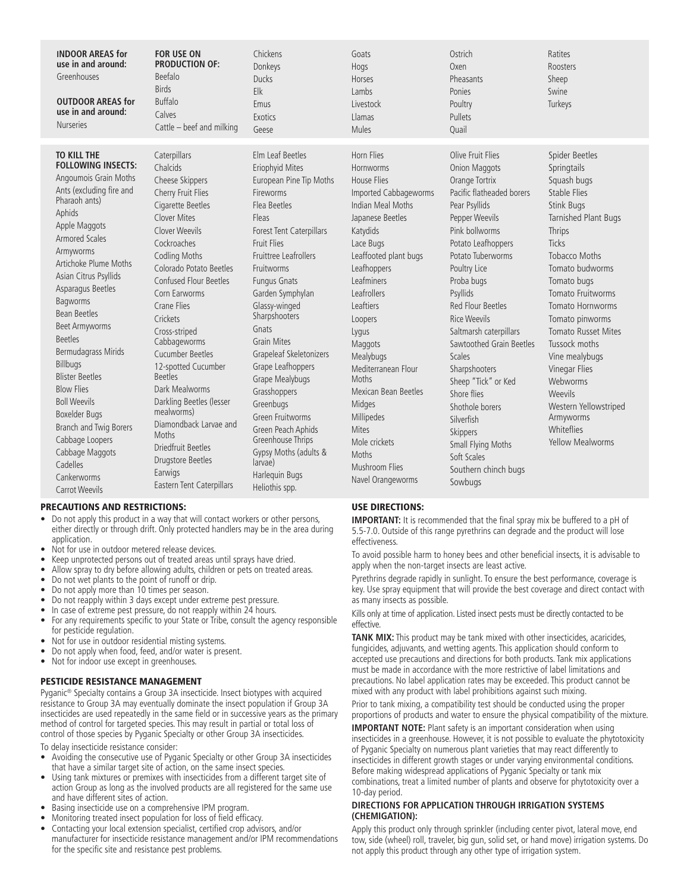| <b>INDOOR AREAS for</b><br>use in and around:<br>Greenhouses<br><b>OUTDOOR AREAS for</b><br>use in and around:<br><b>Nurseries</b>                                                                                                                                                                                                                                                                                                                                                                                                                                                               | <b>FOR USE ON</b><br><b>PRODUCTION OF:</b><br>Beefalo<br><b>Birds</b><br><b>Buffalo</b><br>Calves<br>Cattle - beef and milking                                                                                                                                                                                                                                                                                                                                                                                                                                        | Chickens<br>Donkeys<br><b>Ducks</b><br>Elk<br>Emus<br>Exotics<br>Geese                                                                                                                                                                                                                                                                                                                                                                                                                                                                                  | Goats<br>Hogs<br>Horses<br>Lambs<br>Livestock<br>Llamas<br><b>Mules</b>                                                                                                                                                                                                                                                                                                                                                                               | Ostrich<br>Oxen<br>Pheasants<br>Ponies<br>Poultry<br>Pullets<br>Ouail                                                                                                                                                                                                                                                                                                                                                                                                                                                                    | Ratites<br><b>Roosters</b><br>Sheep<br>Swine<br>Turkeys                                                                                                                                                                                                                                                                                                                                                                                           |
|--------------------------------------------------------------------------------------------------------------------------------------------------------------------------------------------------------------------------------------------------------------------------------------------------------------------------------------------------------------------------------------------------------------------------------------------------------------------------------------------------------------------------------------------------------------------------------------------------|-----------------------------------------------------------------------------------------------------------------------------------------------------------------------------------------------------------------------------------------------------------------------------------------------------------------------------------------------------------------------------------------------------------------------------------------------------------------------------------------------------------------------------------------------------------------------|---------------------------------------------------------------------------------------------------------------------------------------------------------------------------------------------------------------------------------------------------------------------------------------------------------------------------------------------------------------------------------------------------------------------------------------------------------------------------------------------------------------------------------------------------------|-------------------------------------------------------------------------------------------------------------------------------------------------------------------------------------------------------------------------------------------------------------------------------------------------------------------------------------------------------------------------------------------------------------------------------------------------------|------------------------------------------------------------------------------------------------------------------------------------------------------------------------------------------------------------------------------------------------------------------------------------------------------------------------------------------------------------------------------------------------------------------------------------------------------------------------------------------------------------------------------------------|---------------------------------------------------------------------------------------------------------------------------------------------------------------------------------------------------------------------------------------------------------------------------------------------------------------------------------------------------------------------------------------------------------------------------------------------------|
| <b>TO KILL THE</b><br><b>FOLLOWING INSECTS:</b><br>Angoumois Grain Moths<br>Ants (excluding fire and<br>Pharaoh ants)<br>Aphids<br>Apple Maggots<br><b>Armored Scales</b><br>Armyworms<br>Artichoke Plume Moths<br>Asian Citrus Psyllids<br>Asparagus Beetles<br>Bagworms<br><b>Bean Beetles</b><br><b>Beet Armyworms</b><br><b>Beetles</b><br>Bermudagrass Mirids<br><b>Billbugs</b><br><b>Blister Beetles</b><br><b>Blow Flies</b><br><b>Boll Weevils</b><br>Boxelder Bugs<br>Branch and Twig Borers<br>Cabbage Loopers<br>Cabbage Maggots<br>Cadelles<br>Cankerworms<br><b>Carrot Weevils</b> | Caterpillars<br>Chalcids<br>Cheese Skippers<br>Cherry Fruit Flies<br>Cigarette Beetles<br><b>Clover Mites</b><br>Clover Weevils<br>Cockroaches<br><b>Codling Moths</b><br>Colorado Potato Beetles<br>Confused Flour Beetles<br>Corn Earworms<br>Crane Flies<br>Crickets<br>Cross-striped<br>Cabbageworms<br>Cucumber Beetles<br>12-spotted Cucumber<br><b>Beetles</b><br>Dark Mealworms<br>Darkling Beetles (lesser<br>mealworms)<br>Diamondback Larvae and<br><b>Moths</b><br>Driedfruit Beetles<br><b>Drugstore Beetles</b><br>Earwigs<br>Eastern Tent Caterpillars | Elm Leaf Beetles<br>Eriophyid Mites<br>European Pine Tip Moths<br>Fireworms<br>Flea Beetles<br>Fleas<br>Forest Tent Caterpillars<br><b>Fruit Flies</b><br><b>Fruittree Leafrollers</b><br>Fruitworms<br><b>Fungus Gnats</b><br>Garden Symphylan<br>Glassy-winged<br>Sharpshooters<br>Gnats<br><b>Grain Mites</b><br>Grapeleaf Skeletonizers<br>Grape Leafhoppers<br>Grape Mealybugs<br>Grasshoppers<br>Greenbugs<br>Green Fruitworms<br>Green Peach Aphids<br>Greenhouse Thrips<br>Gypsy Moths (adults &<br>larvae)<br>Harlequin Bugs<br>Heliothis spp. | Horn Flies<br>Hornworms<br><b>House Flies</b><br>Imported Cabbageworms<br>Indian Meal Moths<br>Japanese Beetles<br>Katydids<br>Lace Bugs<br>Leaffooted plant bugs<br>Leafhoppers<br>Leafminers<br>Leafrollers<br>Leaftiers<br>Loopers<br>Lygus<br>Maggots<br><b>Mealybugs</b><br>Mediterranean Flour<br>Moths<br><b>Mexican Bean Beetles</b><br>Midges<br>Millipedes<br><b>Mites</b><br>Mole crickets<br>Moths<br>Mushroom Flies<br>Navel Orangeworms | Olive Fruit Flies<br><b>Onion Maggots</b><br>Orange Tortrix<br>Pacific flatheaded borers<br>Pear Psyllids<br>Pepper Weevils<br>Pink bollworms<br>Potato Leafhoppers<br>Potato Tuberworms<br>Poultry Lice<br>Proba bugs<br>Psyllids<br><b>Red Flour Beetles</b><br><b>Rice Weevils</b><br>Saltmarsh caterpillars<br>Sawtoothed Grain Beetles<br><b>Scales</b><br>Sharpshooters<br>Sheep "Tick" or Ked<br>Shore flies<br>Shothole borers<br>Silverfish<br>Skippers<br>Small Flying Moths<br>Soft Scales<br>Southern chinch bugs<br>Sowbugs | Spider Beetles<br>Springtails<br>Squash bugs<br><b>Stable Flies</b><br>Stink Bugs<br>Tarnished Plant Bugs<br>Thrips<br><b>Ticks</b><br><b>Tobacco Moths</b><br>Tomato budworms<br>Tomato bugs<br>Tomato Fruitworms<br>Tomato Hornworms<br>Tomato pinworms<br><b>Tomato Russet Mites</b><br>Tussock moths<br>Vine mealybugs<br>Vinegar Flies<br>Webworms<br>Weevils<br>Western Yellowstriped<br>Armyworms<br>Whiteflies<br><b>Yellow Mealworms</b> |

#### PRECAUTIONS AND RESTRICTIONS:

- Do not apply this product in a way that will contact workers or other persons, either directly or through drift. Only protected handlers may be in the area during application.
- Not for use in outdoor metered release devices.
- Keep unprotected persons out of treated areas until sprays have dried.
- Allow spray to dry before allowing adults, children or pets on treated areas.
- Do not wet plants to the point of runoff or drip.
- Do not apply more than 10 times per season.
- Do not reapply within 3 days except under extreme pest pressure.
- In case of extreme pest pressure, do not reapply within 24 hours. • For any requirements specific to your State or Tribe, consult the agency responsible for pesticide regulation.
- Not for use in outdoor residential misting systems.
- Do not apply when food, feed, and/or water is present.
- Not for indoor use except in greenhouses.

# PESTICIDE RESISTANCE MANAGEMENT

Pyganic® Specialty contains a Group 3A insecticide. Insect biotypes with acquired resistance to Group 3A may eventually dominate the insect population if Group 3A insecticides are used repeatedly in the same field or in successive years as the primary method of control for targeted species. This may result in partial or total loss of control of those species by Pyganic Specialty or other Group 3A insecticides.

To delay insecticide resistance consider:

- Avoiding the consecutive use of Pyganic Specialty or other Group 3A insecticides that have a similar target site of action, on the same insect species.
- Using tank mixtures or premixes with insecticides from a different target site of action Group as long as the involved products are all registered for the same use and have different sites of action.
- Basing insecticide use on a comprehensive IPM program.
- Monitoring treated insect population for loss of field efficacy.
- Contacting your local extension specialist, certified crop advisors, and/or manufacturer for insecticide resistance management and/or IPM recommendations for the specific site and resistance pest problems.

# USE DIRECTIONS:

**IMPORTANT:** It is recommended that the final spray mix be buffered to a pH of 5.5-7.0. Outside of this range pyrethrins can degrade and the product will lose effectiveness.

To avoid possible harm to honey bees and other beneficial insects, it is advisable to apply when the non-target insects are least active.

Pyrethrins degrade rapidly in sunlight. To ensure the best performance, coverage is key. Use spray equipment that will provide the best coverage and direct contact with as many insects as possible.

Kills only at time of application. Listed insect pests must be directly contacted to be effective.

**TANK MIX:** This product may be tank mixed with other insecticides, acaricides, fungicides, adjuvants, and wetting agents. This application should conform to accepted use precautions and directions for both products. Tank mix applications must be made in accordance with the more restrictive of label limitations and precautions. No label application rates may be exceeded. This product cannot be mixed with any product with label prohibitions against such mixing.

Prior to tank mixing, a compatibility test should be conducted using the proper proportions of products and water to ensure the physical compatibility of the mixture.

**IMPORTANT NOTE:** Plant safety is an important consideration when using insecticides in a greenhouse. However, it is not possible to evaluate the phytotoxicity of Pyganic Specialty on numerous plant varieties that may react differently to insecticides in different growth stages or under varying environmental conditions. Before making widespread applications of Pyganic Specialty or tank mix combinations, treat a limited number of plants and observe for phytotoxicity over a 10-day period.

### **DIRECTIONS FOR APPLICATION THROUGH IRRIGATION SYSTEMS (CHEMIGATION):**

Apply this product only through sprinkler (including center pivot, lateral move, end tow, side (wheel) roll, traveler, big gun, solid set, or hand move) irrigation systems. Do not apply this product through any other type of irrigation system.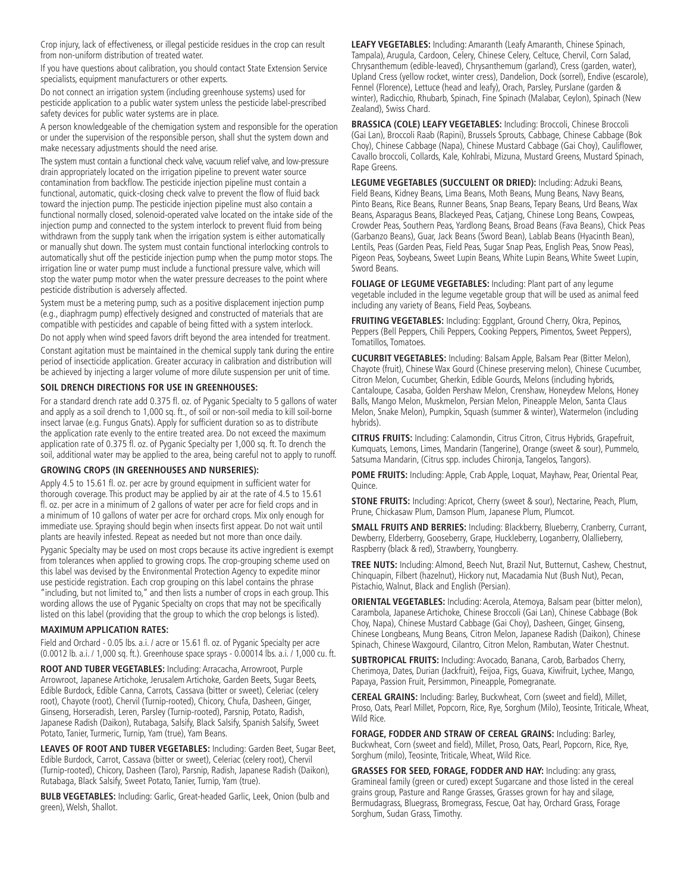Crop injury, lack of effectiveness, or illegal pesticide residues in the crop can result from non-uniform distribution of treated water.

If you have questions about calibration, you should contact State Extension Service specialists, equipment manufacturers or other experts.

Do not connect an irrigation system (including greenhouse systems) used for pesticide application to a public water system unless the pesticide label-prescribed safety devices for public water systems are in place.

A person knowledgeable of the chemigation system and responsible for the operation or under the supervision of the responsible person, shall shut the system down and make necessary adjustments should the need arise.

The system must contain a functional check valve, vacuum relief valve, and low-pressure drain appropriately located on the irrigation pipeline to prevent water source contamination from backflow. The pesticide injection pipeline must contain a functional, automatic, quick-closing check valve to prevent the flow of fluid back toward the injection pump. The pesticide injection pipeline must also contain a functional normally closed, solenoid-operated valve located on the intake side of the injection pump and connected to the system interlock to prevent fluid from being withdrawn from the supply tank when the irrigation system is either automatically or manually shut down. The system must contain functional interlocking controls to automatically shut off the pesticide injection pump when the pump motor stops. The irrigation line or water pump must include a functional pressure valve, which will stop the water pump motor when the water pressure decreases to the point where pesticide distribution is adversely affected.

System must be a metering pump, such as a positive displacement injection pump (e.g., diaphragm pump) effectively designed and constructed of materials that are compatible with pesticides and capable of being fitted with a system interlock.

Do not apply when wind speed favors drift beyond the area intended for treatment.

Constant agitation must be maintained in the chemical supply tank during the entire period of insecticide application. Greater accuracy in calibration and distribution will be achieved by injecting a larger volume of more dilute suspension per unit of time.

### **SOIL DRENCH DIRECTIONS FOR USE IN GREENHOUSES:**

For a standard drench rate add 0.375 fl. oz. of Pyganic Specialty to 5 gallons of water and apply as a soil drench to 1,000 sq. ft., of soil or non-soil media to kill soil-borne insect larvae (e.g. Fungus Gnats). Apply for sufficient duration so as to distribute the application rate evenly to the entire treated area. Do not exceed the maximum application rate of 0.375 fl. oz. of Pyganic Specialty per 1,000 sq. ft. To drench the soil, additional water may be applied to the area, being careful not to apply to runoff.

#### **GROWING CROPS (IN GREENHOUSES AND NURSERIES):**

Apply 4.5 to 15.61 fl. oz. per acre by ground equipment in sufficient water for thorough coverage. This product may be applied by air at the rate of 4.5 to 15.61 fl. oz. per acre in a minimum of 2 gallons of water per acre for field crops and in a minimum of 10 gallons of water per acre for orchard crops. Mix only enough for immediate use. Spraying should begin when insects first appear. Do not wait until plants are heavily infested. Repeat as needed but not more than once daily.

Pyganic Specialty may be used on most crops because its active ingredient is exempt from tolerances when applied to growing crops. The crop-grouping scheme used on this label was devised by the Environmental Protection Agency to expedite minor use pesticide registration. Each crop grouping on this label contains the phrase "including, but not limited to," and then lists a number of crops in each group. This wording allows the use of Pyganic Specialty on crops that may not be specifically listed on this label (providing that the group to which the crop belongs is listed).

#### **MAXIMUM APPLICATION RATES:**

Field and Orchard - 0.05 lbs. a.i. / acre or 15.61 fl. oz. of Pyganic Specialty per acre (0.0012 lb. a.i. / 1,000 sq. ft.). Greenhouse space sprays - 0.00014 lbs. a.i. / 1,000 cu. ft.

**ROOT AND TUBER VEGETABLES:** Including: Arracacha, Arrowroot, Purple Arrowroot, Japanese Artichoke, Jerusalem Artichoke, Garden Beets, Sugar Beets, Edible Burdock, Edible Canna, Carrots, Cassava (bitter or sweet), Celeriac (celery root), Chayote (root), Chervil (Turnip-rooted), Chicory, Chufa, Dasheen, Ginger, Ginseng, Horseradish, Leren, Parsley (Turnip-rooted), Parsnip, Potato, Radish, Japanese Radish (Daikon), Rutabaga, Salsify, Black Salsify, Spanish Salsify, Sweet Potato, Tanier, Turmeric, Turnip, Yam (true), Yam Beans.

**LEAVES OF ROOT AND TUBER VEGETABLES:** Including: Garden Beet, Sugar Beet, Edible Burdock, Carrot, Cassava (bitter or sweet), Celeriac (celery root), Chervil (Turnip-rooted), Chicory, Dasheen (Taro), Parsnip, Radish, Japanese Radish (Daikon), Rutabaga, Black Salsify, Sweet Potato, Tanier, Turnip, Yam (true).

**BULB VEGETABLES:** Including: Garlic, Great-headed Garlic, Leek, Onion (bulb and green), Welsh, Shallot.

**LEAFY VEGETABLES:** Including: Amaranth (Leafy Amaranth, Chinese Spinach, Tampala), Arugula, Cardoon, Celery, Chinese Celery, Celtuce, Chervil, Corn Salad, Chrysanthemum (edible-leaved), Chrysanthemum (garland), Cress (garden, water), Upland Cress (yellow rocket, winter cress), Dandelion, Dock (sorrel), Endive (escarole), Fennel (Florence), Lettuce (head and leafy), Orach, Parsley, Purslane (garden & winter), Radicchio, Rhubarb, Spinach, Fine Spinach (Malabar, Ceylon), Spinach (New Zealand), Swiss Chard.

**BRASSICA (COLE) LEAFY VEGETABLES:** Including: Broccoli, Chinese Broccoli (Gai Lan), Broccoli Raab (Rapini), Brussels Sprouts, Cabbage, Chinese Cabbage (Bok Choy), Chinese Cabbage (Napa), Chinese Mustard Cabbage (Gai Choy), Cauliflower, Cavallo broccoli, Collards, Kale, Kohlrabi, Mizuna, Mustard Greens, Mustard Spinach, Rape Greens.

**LEGUME VEGETABLES (SUCCULENT OR DRIED):** Including: Adzuki Beans, Field Beans, Kidney Beans, Lima Beans, Moth Beans, Mung Beans, Navy Beans, Pinto Beans, Rice Beans, Runner Beans, Snap Beans, Tepary Beans, Urd Beans, Wax Beans, Asparagus Beans, Blackeyed Peas, Catjang, Chinese Long Beans, Cowpeas, Crowder Peas, Southern Peas, Yardlong Beans, Broad Beans (Fava Beans), Chick Peas (Garbanzo Beans), Guar, Jack Beans (Sword Bean), Lablab Beans (Hyacinth Bean), Lentils, Peas (Garden Peas, Field Peas, Sugar Snap Peas, English Peas, Snow Peas), Pigeon Peas, Soybeans, Sweet Lupin Beans, White Lupin Beans, White Sweet Lupin, Sword Beans.

**FOLIAGE OF LEGUME VEGETABLES:** Including: Plant part of any legume vegetable included in the legume vegetable group that will be used as animal feed including any variety of Beans, Field Peas, Soybeans.

**FRUITING VEGETABLES:** Including: Eggplant, Ground Cherry, Okra, Pepinos, Peppers (Bell Peppers, Chili Peppers, Cooking Peppers, Pimentos, Sweet Peppers), Tomatillos, Tomatoes.

**CUCURBIT VEGETABLES:** Including: Balsam Apple, Balsam Pear (Bitter Melon), Chayote (fruit), Chinese Wax Gourd (Chinese preserving melon), Chinese Cucumber, Citron Melon, Cucumber, Gherkin, Edible Gourds, Melons (including hybrids, Cantaloupe, Casaba, Golden Pershaw Melon, Crenshaw, Honeydew Melons, Honey Balls, Mango Melon, Muskmelon, Persian Melon, Pineapple Melon, Santa Claus Melon, Snake Melon), Pumpkin, Squash (summer & winter), Watermelon (including hybrids).

**CITRUS FRUITS:** Including: Calamondin, Citrus Citron, Citrus Hybrids, Grapefruit, Kumquats, Lemons, Limes, Mandarin (Tangerine), Orange (sweet & sour), Pummelo, Satsuma Mandarin, (Citrus spp. includes Chironja, Tangelos, Tangors).

**POME FRUITS:** Including: Apple, Crab Apple, Loquat, Mayhaw, Pear, Oriental Pear, Quince.

**STONE FRUITS:** Including: Apricot, Cherry (sweet & sour), Nectarine, Peach, Plum, Prune, Chickasaw Plum, Damson Plum, Japanese Plum, Plumcot.

**SMALL FRUITS AND BERRIES:** Including: Blackberry, Blueberry, Cranberry, Currant, Dewberry, Elderberry, Gooseberry, Grape, Huckleberry, Loganberry, Olallieberry, Raspberry (black & red), Strawberry, Youngberry.

**TREE NUTS:** Including: Almond, Beech Nut, Brazil Nut, Butternut, Cashew, Chestnut, Chinquapin, Filbert (hazelnut), Hickory nut, Macadamia Nut (Bush Nut), Pecan, Pistachio, Walnut, Black and English (Persian).

**ORIENTAL VEGETABLES:** Including: Acerola, Atemoya, Balsam pear (bitter melon), Carambola, Japanese Artichoke, Chinese Broccoli (Gai Lan), Chinese Cabbage (Bok Choy, Napa), Chinese Mustard Cabbage (Gai Choy), Dasheen, Ginger, Ginseng, Chinese Longbeans, Mung Beans, Citron Melon, Japanese Radish (Daikon), Chinese Spinach, Chinese Waxgourd, Cilantro, Citron Melon, Rambutan, Water Chestnut.

**SUBTROPICAL FRUITS:** Including: Avocado, Banana, Carob, Barbados Cherry, Cherimoya, Dates, Durian (Jackfruit), Feijoa, Figs, Guava, Kiwifruit, Lychee, Mango, Papaya, Passion Fruit, Persimmon, Pineapple, Pomegranate.

**CEREAL GRAINS:** Including: Barley, Buckwheat, Corn (sweet and field), Millet, Proso, Oats, Pearl Millet, Popcorn, Rice, Rye, Sorghum (Milo), Teosinte, Triticale, Wheat, Wild Rice.

**FORAGE, FODDER AND STRAW OF CEREAL GRAINS:** Including: Barley, Buckwheat, Corn (sweet and field), Millet, Proso, Oats, Pearl, Popcorn, Rice, Rye, Sorghum (milo), Teosinte, Triticale, Wheat, Wild Rice.

**GRASSES FOR SEED, FORAGE, FODDER AND HAY:** Including: any grass, Gramineal family (green or cured) except Sugarcane and those listed in the cereal grains group, Pasture and Range Grasses, Grasses grown for hay and silage, Bermudagrass, Bluegrass, Bromegrass, Fescue, Oat hay, Orchard Grass, Forage Sorghum, Sudan Grass, Timothy.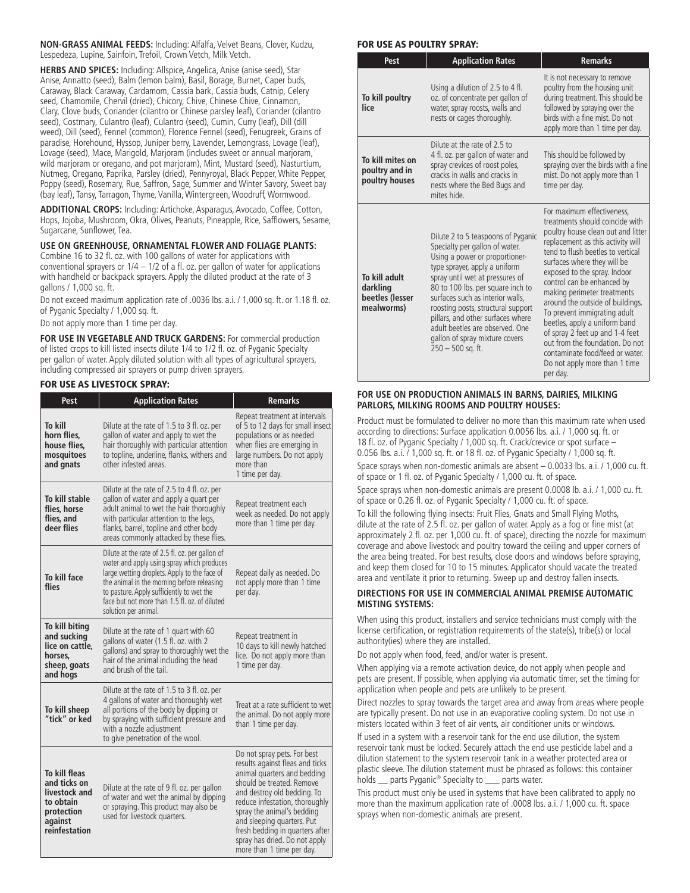**NON-GRASS ANIMAL FEEDS:** Including: Alfalfa, Velvet Beans, Clover, Kudzu, Lespedeza, Lupine, Sainfoin, Trefoil, Crown Vetch, Milk Vetch.

**HERBS AND SPICES:** Including: Allspice, Angelica, Anise (anise seed), Star Anise, Annatto (seed), Balm (lemon balm), Basil, Borage, Burnet, Caper buds, Caraway, Black Caraway, Cardamom, Cassia bark, Cassia buds, Catnip, Celery seed, Chamomile, Chervil (dried), Chicory, Chive, Chinese Chive, Cinnamon, Clary, Clove buds, Coriander (cilantro or Chinese parsley leaf), Coriander (cilantro seed), Costmary, Culantro (leaf), Culantro (seed), Cumin, Curry (leaf), Dill (dill weed), Dill (seed), Fennel (common), Florence Fennel (seed), Fenugreek, Grains of paradise, Horehound, Hyssop, Juniper berry, Lavender, Lemongrass, Lovage (leaf), Lovage (seed), Mace, Marigold, Marjoram (includes sweet or annual marjoram, wild marjoram or oregano, and pot marjoram), Mint, Mustard (seed), Nasturtium, Nutmeg, Oregano, Paprika, Parsley (dried), Pennyroyal, Black Pepper, White Pepper, Poppy (seed), Rosemary, Rue, Saffron, Sage, Summer and Winter Savory, Sweet bay (bay leaf), Tansy, Tarragon, Thyme, Vanilla, Wintergreen, Woodruff, Wormwood.

**ADDITIONAL CROPS:** Including: Artichoke, Asparagus, Avocado, Coffee, Cotton, Hops, Jojoba, Mushroom, Okra, Olives, Peanuts, Pineapple, Rice, Safflowers, Sesame, Sugarcane, Sunflower, Tea.

## **USE ON GREENHOUSE, ORNAMENTAL FLOWER AND FOLIAGE PLANTS:**

Combine 16 to 32 fl. oz. with 100 gallons of water for applications with conventional sprayers or  $1/4 - 1/2$  of a fl. oz. per gallon of water for applications with handheld or backpack sprayers. Apply the diluted product at the rate of 3 gallons / 1,000 sq. ft.

Do not exceed maximum application rate of .0036 lbs. a.i. / 1,000 sq. ft. or 1.18 fl. oz. of Pyganic Specialty / 1,000 sq. ft.

Do not apply more than 1 time per day.

**FOR USE IN VEGETABLE AND TRUCK GARDENS:** For commercial production of listed crops to kill listed insects dilute 1/4 to 1/2 fl. oz. of Pyganic Specialty per gallon of water. Apply diluted solution with all types of agricultural sprayers, including compressed air sprayers or pump driven sprayers.

#### FOR USE AS LIVESTOCK SPRAY:

| Pest                                                                                                  | <b>Application Rates</b>                                                                                                                                                                                                                                                                                          | <b>Remarks</b>                                                                                                                                                                                                                                                                                                                                           |
|-------------------------------------------------------------------------------------------------------|-------------------------------------------------------------------------------------------------------------------------------------------------------------------------------------------------------------------------------------------------------------------------------------------------------------------|----------------------------------------------------------------------------------------------------------------------------------------------------------------------------------------------------------------------------------------------------------------------------------------------------------------------------------------------------------|
| To kill<br>horn flies,<br>house flies,<br>mosquitoes<br>and gnats                                     | Dilute at the rate of 1.5 to 3 fl. oz. per<br>gallon of water and apply to wet the<br>hair thoroughly with particular attention<br>to topline, underline, flanks, withers and<br>other infested areas.                                                                                                            | Repeat treatment at intervals<br>of 5 to 12 days for small insect<br>populations or as needed<br>when flies are emerging in<br>large numbers. Do not apply<br>more than<br>1 time per day.                                                                                                                                                               |
| To kill stable<br>flies, horse<br>flies, and<br>deer flies                                            | Dilute at the rate of 2.5 to 4 fl. oz. per<br>gallon of water and apply a quart per<br>adult animal to wet the hair thoroughly<br>with particular attention to the legs,<br>flanks, barrel, topline and other body<br>areas commonly attacked by these flies.                                                     | Repeat treatment each<br>week as needed. Do not apply<br>more than 1 time per day.                                                                                                                                                                                                                                                                       |
| To kill face<br>flies                                                                                 | Dilute at the rate of 2.5 fl. oz. per gallon of<br>water and apply using spray which produces<br>large wetting droplets. Apply to the face of<br>the animal in the morning before releasing<br>to pasture. Apply sufficiently to wet the<br>face but not more than 1.5 fl. oz. of diluted<br>solution per animal. | Repeat daily as needed. Do<br>not apply more than 1 time<br>per day.                                                                                                                                                                                                                                                                                     |
| To kill biting<br>and sucking<br>lice on cattle.<br>horses,<br>sheep, goats<br>and hogs               | Dilute at the rate of 1 quart with 60<br>gallons of water (1.5 fl. oz. with 2<br>gallons) and spray to thoroughly wet the<br>hair of the animal including the head<br>and brush of the tail.                                                                                                                      | Repeat treatment in<br>10 days to kill newly hatched<br>lice. Do not apply more than<br>1 time per day.                                                                                                                                                                                                                                                  |
| To kill sheep<br>"tick" or ked                                                                        | Dilute at the rate of 1.5 to 3 fl. oz. per<br>4 gallons of water and thoroughly wet<br>all portions of the body by dipping or<br>by spraying with sufficient pressure and<br>with a nozzle adjustment<br>to give penetration of the wool.                                                                         | Treat at a rate sufficient to wet<br>the animal. Do not apply more<br>than 1 time per day.                                                                                                                                                                                                                                                               |
| To kill fleas<br>and ticks on<br>livestock and<br>to obtain<br>protection<br>against<br>reinfestation | Dilute at the rate of 9 fl. oz. per gallon<br>of water and wet the animal by dipping<br>or spraying. This product may also be<br>used for livestock quarters.                                                                                                                                                     | Do not spray pets. For best<br>results against fleas and ticks<br>animal quarters and bedding<br>should be treated. Remove<br>and destroy old bedding. To<br>reduce infestation, thoroughly<br>spray the animal's bedding<br>and sleeping quarters. Put<br>fresh bedding in quarters after<br>spray has dried. Do not apply<br>more than 1 time per day. |

#### FOR USE AS POULTRY SPRAY:

| Pest                                                       | <b>Application Rates</b>                                                                                                                                                                                                                                                                                                                                                                                                   | <b>Remarks</b>                                                                                                                                                                                                                                                                                                                                                                                                                                                                                                                                                       |
|------------------------------------------------------------|----------------------------------------------------------------------------------------------------------------------------------------------------------------------------------------------------------------------------------------------------------------------------------------------------------------------------------------------------------------------------------------------------------------------------|----------------------------------------------------------------------------------------------------------------------------------------------------------------------------------------------------------------------------------------------------------------------------------------------------------------------------------------------------------------------------------------------------------------------------------------------------------------------------------------------------------------------------------------------------------------------|
| To kill poultry<br>lice                                    | Using a dilution of 2.5 to 4 fl.<br>oz. of concentrate per gallon of<br>water, spray roosts, walls and<br>nests or cages thoroughly.                                                                                                                                                                                                                                                                                       | It is not necessary to remove<br>poultry from the housing unit<br>during treatment. This should be<br>followed by spraying over the<br>birds with a fine mist. Do not<br>apply more than 1 time per day.                                                                                                                                                                                                                                                                                                                                                             |
| To kill mites on<br>poultry and in<br>poultry houses       | Dilute at the rate of 2.5 to<br>4 fl. oz. per gallon of water and<br>spray crevices of roost poles,<br>cracks in walls and cracks in<br>nests where the Bed Bugs and<br>mites hide.                                                                                                                                                                                                                                        | This should be followed by<br>spraying over the birds with a fine<br>mist. Do not apply more than 1<br>time per day.                                                                                                                                                                                                                                                                                                                                                                                                                                                 |
| To kill adult<br>darkling<br>beetles (lesser<br>mealworms) | Dilute 2 to 5 teaspoons of Pyganic<br>Specialty per gallon of water.<br>Using a power or proportioner-<br>type sprayer, apply a uniform<br>spray until wet at pressures of<br>80 to 100 lbs. per square inch to<br>surfaces such as interior walls.<br>roosting posts, structural support<br>pillars, and other surfaces where<br>adult beetles are observed. One<br>gallon of spray mixture covers<br>$250 - 500$ sq. ft. | For maximum effectiveness.<br>treatments should coincide with<br>poultry house clean out and litter<br>replacement as this activity will<br>tend to flush beetles to vertical<br>surfaces where they will be<br>exposed to the spray. Indoor<br>control can be enhanced by<br>making perimeter treatments<br>around the outside of buildings.<br>To prevent immigrating adult<br>beetles, apply a uniform band<br>of spray 2 feet up and 1-4 feet<br>out from the foundation. Do not<br>contaminate food/feed or water.<br>Do not apply more than 1 time<br>per day. |

#### **FOR USE ON PRODUCTION ANIMALS IN BARNS, DAIRIES, MILKING PARLORS, MILKING ROOMS AND POULTRY HOUSES:**

Product must be formulated to deliver no more than this maximum rate when used according to directions: Surface application 0.0056 lbs. a.i. / 1,000 sq. ft. or 18 fl. oz. of Pyganic Specialty / 1,000 sq. ft. Crack/crevice or spot surface – 0.056 lbs. a.i. / 1,000 sq. ft. or 18 fl. oz. of Pyganic Specialty / 1,000 sq. ft. Space sprays when non-domestic animals are absent – 0.0033 lbs. a.i. / 1,000 cu. ft. of space or 1 fl. oz. of Pyganic Specialty / 1,000 cu. ft. of space.

Space sprays when non-domestic animals are present 0.0008 lb. a.i. / 1,000 cu. ft. of space or 0.26 fl. oz. of Pyganic Specialty / 1,000 cu. ft. of space.

To kill the following flying insects: Fruit Flies, Gnats and Small Flying Moths, dilute at the rate of 2.5 fl. oz. per gallon of water. Apply as a fog or fine mist (at approximately 2 fl. oz. per 1,000 cu. ft. of space), directing the nozzle for maximum coverage and above livestock and poultry toward the ceiling and upper corners of the area being treated. For best results, close doors and windows before spraying, and keep them closed for 10 to 15 minutes. Applicator should vacate the treated area and ventilate it prior to returning. Sweep up and destroy fallen insects.

#### **DIRECTIONS FOR USE IN COMMERCIAL ANIMAL PREMISE AUTOMATIC MISTING SYSTEMS:**

When using this product, installers and service technicians must comply with the license certification, or registration requirements of the state(s), tribe(s) or local authority(ies) where they are installed.

Do not apply when food, feed, and/or water is present.

When applying via a remote activation device, do not apply when people and pets are present. If possible, when applying via automatic timer, set the timing for application when people and pets are unlikely to be present.

Direct nozzles to spray towards the target area and away from areas where people are typically present. Do not use in an evaporative cooling system. Do not use in misters located within 3 feet of air vents, air conditioner units or windows.

If used in a system with a reservoir tank for the end use dilution, the system reservoir tank must be locked. Securely attach the end use pesticide label and a dilution statement to the system reservoir tank in a weather protected area or plastic sleeve. The dilution statement must be phrased as follows: this container holds \_\_ parts Pyganic® Specialty to \_\_\_ parts water.

This product must only be used in systems that have been calibrated to apply no more than the maximum application rate of .0008 lbs. a.i. / 1,000 cu. ft. space sprays when non-domestic animals are present.